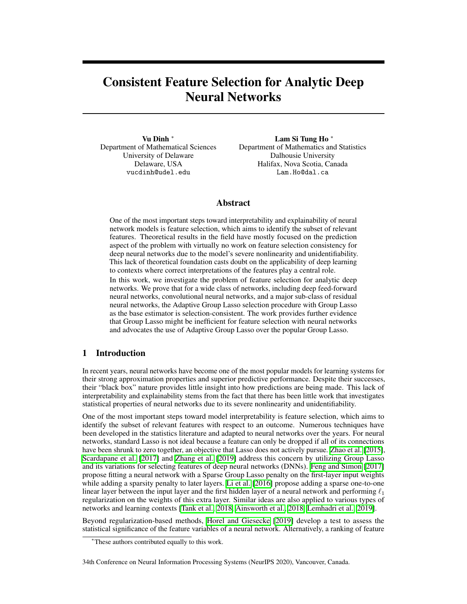# <span id="page-0-0"></span>Consistent Feature Selection for Analytic Deep Neural Networks

Vu Dinh  $*$ Department of Mathematical Sciences University of Delaware Delaware, USA vucdinh@udel.edu

Lam Si Tung Ho<sup>\*</sup> Department of Mathematics and Statistics Dalhousie University Halifax, Nova Scotia, Canada Lam.Ho@dal.ca

## Abstract

One of the most important steps toward interpretability and explainability of neural network models is feature selection, which aims to identify the subset of relevant features. Theoretical results in the field have mostly focused on the prediction aspect of the problem with virtually no work on feature selection consistency for deep neural networks due to the model's severe nonlinearity and unidentifiability. This lack of theoretical foundation casts doubt on the applicability of deep learning to contexts where correct interpretations of the features play a central role.

In this work, we investigate the problem of feature selection for analytic deep networks. We prove that for a wide class of networks, including deep feed-forward neural networks, convolutional neural networks, and a major sub-class of residual neural networks, the Adaptive Group Lasso selection procedure with Group Lasso as the base estimator is selection-consistent. The work provides further evidence that Group Lasso might be inefficient for feature selection with neural networks and advocates the use of Adaptive Group Lasso over the popular Group Lasso.

## 1 Introduction

In recent years, neural networks have become one of the most popular models for learning systems for their strong approximation properties and superior predictive performance. Despite their successes, their "black box" nature provides little insight into how predictions are being made. This lack of interpretability and explainability stems from the fact that there has been little work that investigates statistical properties of neural networks due to its severe nonlinearity and unidentifiability.

One of the most important steps toward model interpretability is feature selection, which aims to identify the subset of relevant features with respect to an outcome. Numerous techniques have been developed in the statistics literature and adapted to neural networks over the years. For neural networks, standard Lasso is not ideal because a feature can only be dropped if all of its connections have been shrunk to zero together, an objective that Lasso does not actively pursue. **Zhao et al.** [\[2015\]](#page-11-0), [Scardapane et al.](#page-11-1)  $[2017]$  and [Zhang et al.](#page-11-2)  $[2019]$  address this concern by utilizing Group Lasso and its variations for selecting features of deep neural networks (DNNs). [Feng and Simon](#page-10-0) [\[2017\]](#page-10-0) propose fitting a neural network with a Sparse Group Lasso penalty on the first-layer input weights while adding a sparsity penalty to later layers. [Li et al.](#page-10-1) [\[2016\]](#page-10-1) propose adding a sparse one-to-one linear layer between the input layer and the first hidden layer of a neural network and performing  $\ell_1$ regularization on the weights of this extra layer. Similar ideas are also applied to various types of networks and learning contexts [\[Tank et al., 2018,](#page-11-3) [Ainsworth et al., 2018,](#page-10-2) [Lemhadri et al., 2019\]](#page-10-3).

Beyond regularization-based methods, [Horel and Giesecke](#page-10-4) [\[2019\]](#page-10-4) develop a test to assess the statistical significance of the feature variables of a neural network. Alternatively, a ranking of feature

34th Conference on Neural Information Processing Systems (NeurIPS 2020), Vancouver, Canada.

<sup>⇤</sup>These authors contributed equally to this work.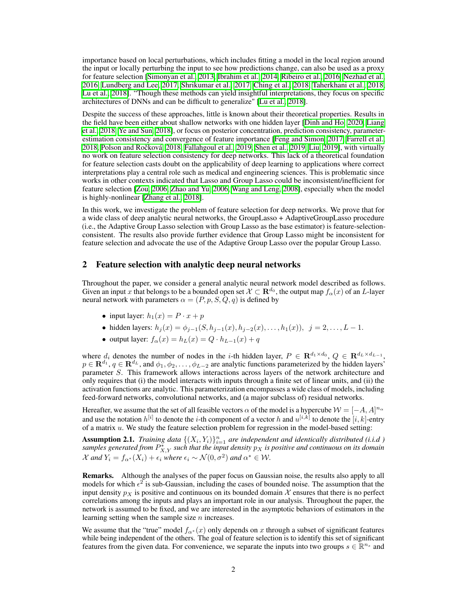importance based on local perturbations, which includes fitting a model in the local region around the input or locally perturbing the input to see how predictions change, can also be used as a proxy for feature selection [\[Simonyan et al., 2013,](#page-11-4) [Ibrahim et al., 2014,](#page-10-5) [Ribeiro et al., 2016,](#page-11-5) [Nezhad et al.,](#page-11-6) [2016,](#page-11-6) [Lundberg and Lee, 2017,](#page-10-6) [Shrikumar et al., 2017,](#page-11-7) [Ching et al., 2018,](#page-10-7) [Taherkhani et al., 2018,](#page-11-8) [Lu et al., 2018\]](#page-10-8). "Though these methods can yield insightful interpretations, they focus on specific architectures of DNNs and can be difficult to generalize" [\[Lu et al., 2018\]](#page-10-8).

Despite the success of these approaches, little is known about their theoretical properties. Results in the field have been either about shallow networks with one hidden layer **Dinh and Ho**,  $2020$ , [Liang](#page-10-10) [et al., 2018,](#page-10-10) [Ye and Sun, 2018\]](#page-11-9), or focus on posterior concentration, prediction consistency, parameterestimation consistency and convergence of feature importance **F**eng and Simon, 2017, [Farrell et al.,](#page-10-11)  $2018$ , Polson and Rocková,  $2018$ , Fallahgoul et al.,  $2019$ , Shen et al.,  $2019$ , Liu,  $2019$ , with virtually no work on feature selection consistency for deep networks. This lack of a theoretical foundation for feature selection casts doubt on the applicability of deep learning to applications where correct interpretations play a central role such as medical and engineering sciences. This is problematic since works in other contexts indicated that Lasso and Group Lasso could be inconsistent/inefficient for feature selection [\[Zou, 2006,](#page-11-12) [Zhao and Yu, 2006,](#page-11-13) [Wang and Leng, 2008\]](#page-11-14), especially when the model is highly-nonlinear [\[Zhang et al., 2018\]](#page-11-15).

In this work, we investigate the problem of feature selection for deep networks. We prove that for a wide class of deep analytic neural networks, the GroupLasso + AdaptiveGroupLasso procedure (i.e., the Adaptive Group Lasso selection with Group Lasso as the base estimator) is feature-selectionconsistent. The results also provide further evidence that Group Lasso might be inconsistent for feature selection and advocate the use of the Adaptive Group Lasso over the popular Group Lasso.

### 2 Feature selection with analytic deep neural networks

Throughout the paper, we consider a general analytic neural network model described as follows. Given an input x that belongs to be a bounded open set  $\mathcal{X} \subset \mathbf{R}^{d_0}$ , the output map  $f_\alpha(x)$  of an *L*-layer neural network with parameters  $\alpha = (P, p, S, Q, q)$  is defined by

- input layer:  $h_1(x) = P \cdot x + p$
- hidden layers:  $h_i(x) = \phi_{i-1}(S, h_{i-1}(x), h_{i-2}(x), \ldots, h_1(x))$ ,  $j = 2, \ldots, L-1$ .
- output layer:  $f_{\alpha}(x) = h_L(x) = Q \cdot h_{L-1}(x) + q$

where  $d_i$  denotes the number of nodes in the *i*-th hidden layer,  $P \in \mathbb{R}^{d_1 \times d_0}$ ,  $Q \in \mathbb{R}^{d_L \times d_{L-1}}$ ,  $p \in \mathbf{R}^{d_1}$ ,  $q \in \mathbf{R}^{d_L}$ , and  $\phi_1, \phi_2, \ldots, \phi_{L-2}$  are analytic functions parameterized by the hidden layers' parameter *S*. This framework allows interactions across layers of the network architecture and only requires that (i) the model interacts with inputs through a finite set of linear units, and (ii) the activation functions are analytic. This parameterization encompasses a wide class of models, including feed-forward networks, convolutional networks, and (a major subclass of) residual networks.

Hereafter, we assume that the set of all feasible vectors  $\alpha$  of the model is a hypercube  $\mathcal{W} = [-A, A]^{n_{\alpha}}$ and use the notation  $h^{[i]}$  to denote the *i*-th component of a vector  $h$  and  $u^{[i,k]}$  to denote the  $[i,k]$ -entry of a matrix *u*. We study the feature selection problem for regression in the model-based setting:

<span id="page-1-0"></span>Assumption 2.1. *Training data*  $\{(X_i, Y_i)\}_{i=1}^n$  *are independent and identically distributed (i.i.d)*  $s$ amples generated from  $P_{X,Y}^*$  such that the input density  $p_X$  is positive and continuous on its domain *X* and  $Y_i = f_{\alpha^*}(X_i) + \epsilon_i$  where  $\epsilon_i \sim \mathcal{N}(0, \sigma^2)$  and  $\alpha^* \in \mathcal{W}$ .

Remarks. Although the analyses of the paper focus on Gaussian noise, the results also apply to all models for which  $\epsilon^2$  is sub-Gaussian, including the cases of bounded noise. The assumption that the input density  $p_X$  is positive and continuous on its bounded domain  $X$  ensures that there is no perfect correlations among the inputs and plays an important role in our analysis. Throughout the paper, the network is assumed to be fixed, and we are interested in the asymptotic behaviors of estimators in the learning setting when the sample size *n* increases.

We assume that the "true" model  $f_{\alpha^*}(x)$  only depends on x through a subset of significant features while being independent of the others. The goal of feature selection is to identify this set of significant features from the given data. For convenience, we separate the inputs into two groups  $s \in \mathbb{R}^{n_s}$  and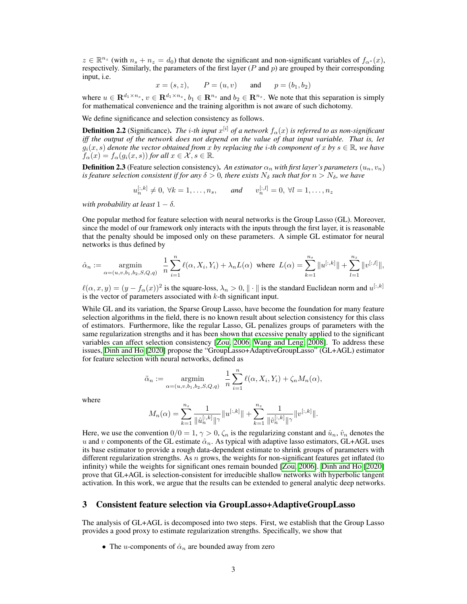$z \in \mathbb{R}^{n_z}$  (with  $n_s + n_z = d_0$ ) that denote the significant and non-significant variables of  $f_{\alpha^*}(x)$ , respectively. Similarly, the parameters of the first layer (*P* and *p*) are grouped by their corresponding input, i.e.

$$
x = (s, z),
$$
  $P = (u, v)$  and  $p = (b_1, b_2)$ 

where  $u \in \mathbb{R}^{d_1 \times n_s}$ ,  $v \in \mathbb{R}^{d_1 \times n_z}$ ,  $b_1 \in \mathbb{R}^{n_s}$  and  $b_2 \in \mathbb{R}^{n_z}$ . We note that this separation is simply for mathematical convenience and the training algorithm is not aware of such dichotomy.

We define significance and selection consistency as follows.

**Definition 2.2** (Significance). The *i*-th input  $x^{[i]}$  of a network  $f_\alpha(x)$  is referred to as non-significant *iff the output of the network does not depend on the value of that input variable. That is, let*  $g_i(x, s)$  *denote the vector obtained from x by replacing the <i>i*-th component of *x by*  $s \in \mathbb{R}$ *, we have*  $f_{\alpha}(x) = f_{\alpha}(g_i(x, s))$  *for all*  $x \in \mathcal{X}, s \in \mathbb{R}$ *.* 

**Definition 2.3** (Feature selection consistency). An estimator  $\alpha_n$  with first layer's parameters  $(u_n, v_n)$ *is feature selection consistent if for any*  $\delta > 0$ , there exists  $N_{\delta}$  such that for  $n > N_{\delta}$ , we have

$$
u_n^{[:,k]} \neq 0, \ \forall k = 1, \dots, n_s, \quad \text{and} \quad v_n^{[:,l]} = 0, \ \forall l = 1, \dots, n_z
$$

*with probability at least*  $1 - \delta$ .

One popular method for feature selection with neural networks is the Group Lasso (GL). Moreover, since the model of our framework only interacts with the inputs through the first layer, it is reasonable that the penalty should be imposed only on these parameters. A simple GL estimator for neural networks is thus defined by

$$
\hat{\alpha}_n := \underset{\alpha = (u, v, b_1, b_2, S, Q, q)}{\text{argmin}} \frac{1}{n} \sum_{i=1}^n \ell(\alpha, X_i, Y_i) + \lambda_n L(\alpha) \text{ where } L(\alpha) = \sum_{k=1}^{n_s} ||u^{[:,k]}|| + \sum_{l=1}^{n_z} ||v^{[:,l]}||,
$$

 $\ell(\alpha, x, y)=(y-f_\alpha(x))^2$  is the square-loss,  $\lambda_n>0, \| \cdot \|$  is the standard Euclidean norm and  $u^{[:,k]}$ is the vector of parameters associated with *k*-th significant input.

While GL and its variation, the Sparse Group Lasso, have become the foundation for many feature selection algorithms in the field, there is no known result about selection consistency for this class of estimators. Furthermore, like the regular Lasso, GL penalizes groups of parameters with the same regularization strengths and it has been shown that excessive penalty applied to the significant variables can affect selection consistency  $\left[\frac{Z_{\text{OUI}}}{2006}\right]$  [Wang and Leng, 2008\]](#page-11-14). To address these issues, [Dinh and Ho](#page-10-9) [\[2020\]](#page-10-9) propose the "GroupLasso+AdaptiveGroupLasso" (GL+AGL) estimator for feature selection with neural networks, defined as

$$
\tilde{\alpha}_n := \underset{\alpha = (u,v,b_1,b_2,S,Q,q)}{\operatorname{argmin}} \frac{1}{n} \sum_{i=1}^n \ell(\alpha, X_i, Y_i) + \zeta_n M_n(\alpha),
$$

where

$$
M_n(\alpha) = \sum_{k=1}^{n_s} \frac{1}{\|\hat{u}_n^{[:,k]}\|^\gamma} \|u^{[:,k]}\| + \sum_{k=1}^{n_z} \frac{1}{\|\hat{v}_n^{[:,k]}\|^\gamma} \|v^{[:,k]}\|.
$$

Here, we use the convention  $0/0=1$ ,  $\gamma > 0$ ,  $\zeta_n$  is the regularizing constant and  $\hat{u}_n$ ,  $\hat{v}_n$  denotes the *u* and *v* components of the GL estimate  $\hat{\alpha}_n$ . As typical with adaptive lasso estimators, GL+AGL uses its base estimator to provide a rough data-dependent estimate to shrink groups of parameters with different regularization strengths. As *n* grows, the weights for non-significant features get inflated (to infinity) while the weights for significant ones remain bounded  $\left[\frac{\text{Zou}}{\text{Zou}}\right]$  [2006]. [Dinh and Ho](#page-10-9)  $\left[\frac{\text{2020}}{\text{Zou}}\right]$ prove that GL+AGL is selection-consistent for irreducible shallow networks with hyperbolic tangent activation. In this work, we argue that the results can be extended to general analytic deep networks.

## 3 Consistent feature selection via GroupLasso+AdaptiveGroupLasso

The analysis of GL+AGL is decomposed into two steps. First, we establish that the Group Lasso provides a good proxy to estimate regularization strengths. Specifically, we show that

• The *u*-components of  $\hat{\alpha}_n$  are bounded away from zero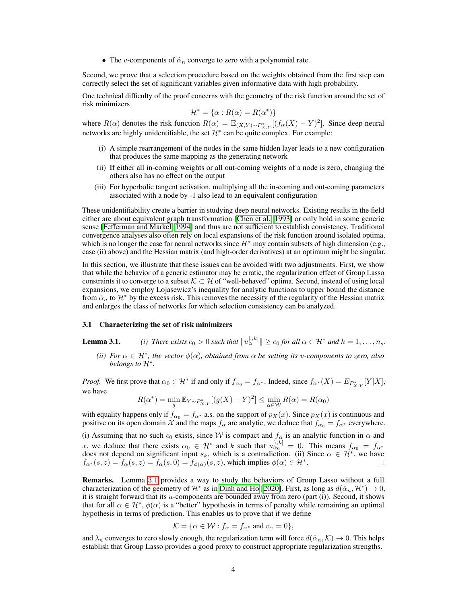• The *v*-components of  $\hat{\alpha}_n$  converge to zero with a polynomial rate.

Second, we prove that a selection procedure based on the weights obtained from the first step can correctly select the set of significant variables given informative data with high probability.

One technical difficulty of the proof concerns with the geometry of the risk function around the set of risk minimizers

$$
\mathcal{H}^* = \{ \alpha : R(\alpha) = R(\alpha^*) \}
$$

where  $R(\alpha)$  denotes the risk function  $R(\alpha) = \mathbb{E}_{(X,Y)\sim P_{X,Y}^*}[(f_\alpha(X) - Y)^2]$ . Since deep neural networks are highly unidentifiable, the set  $\mathcal{H}^*$  can be quite complex. For example:

- (i) A simple rearrangement of the nodes in the same hidden layer leads to a new configuration that produces the same mapping as the generating network
- (ii) If either all in-coming weights or all out-coming weights of a node is zero, changing the others also has no effect on the output
- (iii) For hyperbolic tangent activation, multiplying all the in-coming and out-coming parameters associated with a node by -1 also lead to an equivalent configuration

These unidentifiability create a barrier in studying deep neural networks. Existing results in the field either are about equivalent graph transformation  $[Chen et al., 1993]$  or only hold in some generic sense [\[Fefferman and Markel, 1994\]](#page-10-15) and thus are not sufficient to establish consistency. Traditional convergence analyses also often rely on local expansions of the risk function around isolated optima, which is no longer the case for neural networks since  $H^*$  may contain subsets of high dimension (e.g., case (ii) above) and the Hessian matrix (and high-order derivatives) at an optimum might be singular.

In this section, we illustrate that these issues can be avoided with two adjustments. First, we show that while the behavior of a generic estimator may be erratic, the regularization effect of Group Lasso constraints it to converge to a subset  $K \subset H$  of "well-behaved" optima. Second, instead of using local expansions, we employ Lojasewicz's inequality for analytic functions to upper bound the distance from  $\hat{\alpha}_n$  to  $\mathcal{H}^*$  by the excess risk. This removes the necessity of the regularity of the Hessian matrix and enlarges the class of networks for which selection consistency can be analyzed.

#### 3.1 Characterizing the set of risk minimizers

**Lemma 3.1.** *(i) There exists*  $c_0 > 0$  *such that*  $||u_{\alpha}^{[:,k]}|| \ge c_0$  *for all*  $\alpha \in \mathcal{H}^*$  *and*  $k = 1, \ldots, n_s$ *.* 

*(ii)* For  $\alpha \in \mathcal{H}^*$ , the vector  $\phi(\alpha)$ , obtained from  $\alpha$  be setting its *v*-components to zero, also *belongs to*  $\mathcal{H}^*$ .

*Proof.* We first prove that  $\alpha_0 \in \mathcal{H}^*$  if and only if  $f_{\alpha_0} = f_{\alpha^*}$ . Indeed, since  $f_{\alpha^*}(X) = E_{P_{X,Y}^*}[Y|X]$ , we have

$$
R(\alpha^*) = \min_{g} \mathbb{E}_{Y \sim P_{X,Y}^*} [(g(X) - Y)^2] \le \min_{\alpha \in \mathcal{W}} R(\alpha) = R(\alpha_0)
$$

with equality happens only if  $f_{\alpha_0} = f_{\alpha^*}$  a.s. on the support of  $p_X(x)$ . Since  $p_X(x)$  is continuous and positive on its open domain *X* and the maps  $f_\alpha$  are analytic, we deduce that  $f_{\alpha 0} = f_{\alpha^*}$  everywhere.

(i) Assuming that no such  $c_0$  exists, since  $W$  is compact and  $f_\alpha$  is an analytic function in  $\alpha$  and *x*, we deduce that there exists  $\alpha_0 \in \mathcal{H}^*$  and *k* such that  $u_{\alpha_0}^{[:,k]} = 0$ . This means  $f_{\alpha_0} = f_{\alpha^*}$ does not depend on significant input  $s_k$ , which is a contradiction. (ii) Since  $\alpha \in \mathcal{H}^*$ , we have  $f_{\alpha^*}(s, z) = f_{\alpha}(s, z) = f_{\alpha}(s, 0) = f_{\phi(\alpha)}(s, z)$ , which implies  $\phi(\alpha) \in \mathcal{H}^*$ .

Remarks. Lemma [3](#page-0-0)*.*1 provides a way to study the behaviors of Group Lasso without a full characterization of the geometry of  $\mathcal{H}^*$  as in [Dinh and Ho](#page-10-9) [\[2020\]](#page-10-9). First, as long as  $d(\hat{\alpha}_n, \mathcal{H}^*) \to 0$ , it is straight forward that its *u*-components are bounded away from zero (part (i)). Second, it shows that for all  $\alpha \in \mathcal{H}^*, \phi(\alpha)$  is a "better" hypothesis in terms of penalty while remaining an optimal hypothesis in terms of prediction. This enables us to prove that if we define

$$
\mathcal{K} = \{ \alpha \in \mathcal{W} : f_{\alpha} = f_{\alpha^*} \text{ and } v_{\alpha} = 0 \},
$$

and  $\lambda_n$  converges to zero slowly enough, the regularization term will force  $d(\hat{\alpha}_n, K) \to 0$ . This helps establish that Group Lasso provides a good proxy to construct appropriate regularization strengths.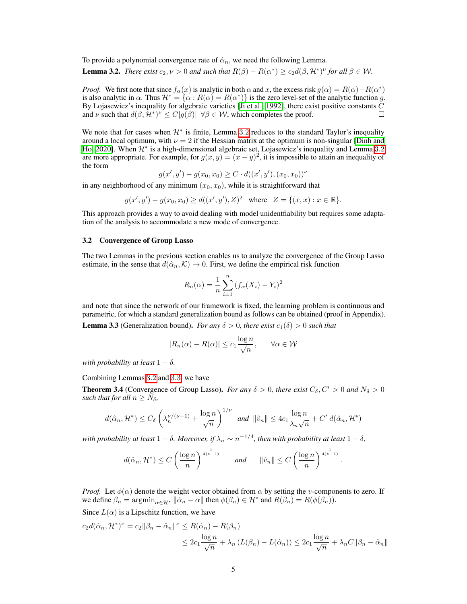To provide a polynomial convergence rate of  $\hat{\alpha}_n$ , we need the following Lemma.

<span id="page-4-0"></span>**Lemma 3.2.** *There exist*  $c_2, \nu > 0$  *and such that*  $R(\beta) - R(\alpha^*) \ge c_2 d(\beta, \mathcal{H}^*)^{\nu}$  for all  $\beta \in \mathcal{W}$ .

*Proof.* We first note that since  $f_\alpha(x)$  is analytic in both  $\alpha$  and  $x$ , the excess risk  $g(\alpha) = R(\alpha) - R(\alpha^*)$ is also analytic in  $\alpha$ . Thus  $\mathcal{H}^* = {\alpha : R(\alpha) = R(\alpha^*)}$  is the zero level-set of the analytic function *g*. By Lojasewicz's inequality for algebraic varieties [\[Ji et al., 1992\]](#page-10-16), there exist positive constants *C* and  $\nu$  such that  $d(\beta, \mathcal{H}^*)^{\nu} \leq C|g(\beta)| \forall \beta \in \mathcal{W}$ , which completes the proof.  $\Box$ 

We note that for cases when  $\mathcal{H}^*$  is finite, Lemma  $3.2$  $3.2$  reduces to the standard Taylor's inequality around a local optimum, with  $\nu = 2$  if the Hessian matrix at the optimum is non-singular Dinh and [Ho, 2020\]](#page-10-9). When  $\mathcal{H}^*$  is a high-dimensional algebraic set, Lojasewicz's inequality and Lemma [3](#page-4-0).2 are more appropriate. For example, for  $g(x, y) = (x - y)^2$ , it is impossible to attain an inequality of the form

$$
g(x', y') - g(x_0, x_0) \ge C \cdot d((x', y'), (x_0, x_0))^\nu
$$

in any neighborhood of any minimum  $(x_0, x_0)$ , while it is straightforward that

$$
g(x', y') - g(x_0, x_0) \ge d((x', y'), Z)^2
$$
 where  $Z = \{(x, x) : x \in \mathbb{R}\}.$ 

This approach provides a way to avoid dealing with model unidentfiability but requires some adaptation of the analysis to accommodate a new mode of convergence.

#### 3.2 Convergence of Group Lasso

The two Lemmas in the previous section enables us to analyze the convergence of the Group Lasso estimate, in the sense that  $d(\hat{\alpha}_n, K) \to 0$ . First, we define the empirical risk function

$$
R_n(\alpha) = \frac{1}{n} \sum_{i=1}^{n} (f_{\alpha}(X_i) - Y_i)^2
$$

and note that since the network of our framework is fixed, the learning problem is continuous and parametric, for which a standard generalization bound as follows can be obtained (proof in Appendix).

<span id="page-4-1"></span>**Lemma 3.3** (Generalization bound). *For any*  $\delta > 0$ , there exist  $c_1(\delta) > 0$  such that

$$
|R_n(\alpha) - R(\alpha)| \le c_1 \frac{\log n}{\sqrt{n}}, \quad \forall \alpha \in \mathcal{W}
$$

*with probability at least*  $1 - \delta$ .

Combining Lemmas [3](#page-4-0)*.*2 and [3](#page-4-1)*.*3, we have

<span id="page-4-2"></span>**Theorem 3.4** (Convergence of Group Lasso). *For any*  $\delta > 0$ , there exist  $C_{\delta}, C' > 0$  and  $N_{\delta} > 0$ *such that for all*  $n \geq N_\delta$ ,

$$
d(\hat{\alpha}_n, \mathcal{H}^*) \le C_\delta \left(\lambda_n^{\nu/(\nu-1)} + \frac{\log n}{\sqrt{n}}\right)^{1/\nu} \text{ and } \|\hat{v}_n\| \le 4c_1 \frac{\log n}{\lambda_n \sqrt{n}} + C' d(\hat{\alpha}_n, \mathcal{H}^*)
$$

*with probability at least*  $1 - \delta$ . *Moreover, if*  $\lambda_n \sim n^{-1/4}$ *, then with probability at least*  $1 - \delta$ *,* 

$$
d(\hat{\alpha}_n, \mathcal{H}^*) \le C \left(\frac{\log n}{n}\right)^{\frac{1}{4(\nu-1)}} \quad \text{and} \quad \|\hat{v}_n\| \le C \left(\frac{\log n}{n}\right)^{\frac{1}{4(\nu-1)}}.
$$

*Proof.* Let  $\phi(\alpha)$  denote the weight vector obtained from  $\alpha$  by setting the *v*-components to zero. If we define  $\beta_n = \operatorname{argmin}_{\alpha \in \mathcal{H}^*} ||\alpha_n - \alpha||$  then  $\phi(\beta_n) \in \mathcal{H}^*$  and  $R(\beta_n) = R(\phi(\beta_n)).$ 

Since  $L(\alpha)$  is a Lipschitz function, we have

$$
c_2 d(\hat{\alpha}_n, \mathcal{H}^*)^{\nu} = c_2 \|\beta_n - \hat{\alpha}_n\|^{\nu} \le R(\hat{\alpha}_n) - R(\beta_n)
$$
  

$$
\le 2c_1 \frac{\log n}{\sqrt{n}} + \lambda_n (L(\beta_n) - L(\hat{\alpha}_n)) \le 2c_1 \frac{\log n}{\sqrt{n}} + \lambda_n C \|\beta_n - \hat{\alpha}_n\|
$$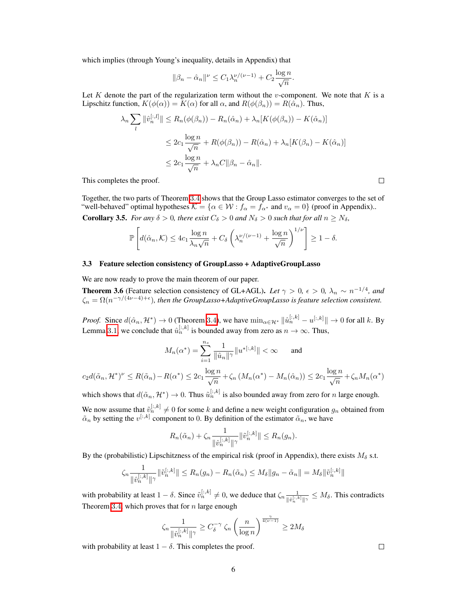which implies (through Young's inequality, details in Appendix) that

$$
\|\beta_n - \hat{\alpha}_n\|^{\nu} \le C_1 \lambda_n^{\nu/(\nu-1)} + C_2 \frac{\log n}{\sqrt{n}}.
$$

Let *K* denote the part of the regularization term without the *v*-component. We note that *K* is a Lipschitz function,  $K(\phi(\alpha)) = K(\alpha)$  for all  $\alpha$ , and  $R(\phi(\beta_n)) = R(\hat{\alpha}_n)$ . Thus,

$$
\lambda_n \sum_{l} \|\hat{v}_n^{[:,l]}\| \le R_n(\phi(\beta_n)) - R_n(\hat{\alpha}_n) + \lambda_n[K(\phi(\beta_n)) - K(\hat{\alpha}_n)]
$$
  

$$
\le 2c_1 \frac{\log n}{\sqrt{n}} + R(\phi(\beta_n)) - R(\hat{\alpha}_n) + \lambda_n[K(\beta_n) - K(\hat{\alpha}_n)]
$$
  

$$
\le 2c_1 \frac{\log n}{\sqrt{n}} + \lambda_n C \|\beta_n - \hat{\alpha}_n\|.
$$

This completes the proof.

Together, the two parts of Theorem [3](#page-4-2).4 shows that the Group Lasso estimator converges to the set of "well-behaved" optimal hypotheses  $K = \{ \alpha \in \mathcal{W} : f_\alpha = f_{\alpha^*} \text{ and } v_\alpha = 0 \}$  (proof in Appendix).. **Corollary 3.5.** *For any*  $\delta > 0$ *, there exist*  $C_{\delta} > 0$  *and*  $N_{\delta} > 0$  *such that for all*  $n \geq N_{\delta}$ *,* 

$$
\mathbb{P}\left[d(\hat{\alpha}_n,\mathcal{K}) \leq 4c_1 \frac{\log n}{\lambda_n \sqrt{n}} + C_{\delta}\left(\lambda_n^{\nu/(\nu-1)} + \frac{\log n}{\sqrt{n}}\right)^{1/\nu}\right] \geq 1 - \delta.
$$

#### 3.3 Feature selection consistency of GroupLasso + AdaptiveGroupLasso

We are now ready to prove the main theorem of our paper.

<span id="page-5-0"></span>**Theorem 3.6** (Feature selection consistency of GL+AGL). Let  $\gamma > 0$ ,  $\epsilon > 0$ ,  $\lambda_n \sim n^{-1/4}$ , and  $\zeta_n = \Omega(n^{-\gamma/(4\nu-4)+\epsilon})$ , then the GroupLasso+AdaptiveGroupLasso is feature selection consistent.

*Proof.* Since  $d(\hat{\alpha}_n, \mathcal{H}^*) \to 0$  (Theorem  $\boxed{3.4}$  $\boxed{3.4}$  $\boxed{3.4}$ ), we have  $\min_{\alpha \in \mathcal{H}^*} ||\hat{u}_n^{[:,k]} - u^{[:,k]}|| \to 0$  for all *k*. By Lemma  $\boxed{3.1}$  $\boxed{3.1}$  $\boxed{3.1}$ , we conclude that  $\hat{u}_n^{[:,k]}$  is bounded away from zero as  $n \to \infty$ . Thus,

$$
M_n(\alpha^*) = \sum_{i=1}^{n_s} \frac{1}{\|\hat{u}_n\|^\gamma} \|u^{*[:,k]}\| < \infty \quad \text{and} \quad
$$

$$
c_2 d(\tilde{\alpha}_n, \mathcal{H}^*)^{\nu} \leq R(\tilde{\alpha}_n) - R(\alpha^*) \leq 2c_1 \frac{\log n}{\sqrt{n}} + \zeta_n \left( M_n(\alpha^*) - M_n(\hat{\alpha}_n) \right) \leq 2c_1 \frac{\log n}{\sqrt{n}} + \zeta_n M_n(\alpha^*)
$$

which shows that  $d(\tilde{\alpha}_n, \mathcal{H}^*) \to 0$ . Thus  $\tilde{u}_n^{[:,k]}$  is also bounded away from zero for *n* large enough. We now assume that  $\tilde{v}_i^{[:,k]} \neq 0$  for some *k* and define a new weight configuration  $g_n$  obtained from  $\tilde{\alpha}_n$  by setting the  $v^{[:,k]}$  component to 0. By definition of the estimator  $\tilde{\alpha}_n$ , we have

$$
R_n(\tilde{\alpha}_n) + \zeta_n \frac{1}{\|\hat{v}_n^{[:,k]}\|} \|\tilde{v}_n^{[:,k]}\| \le R_n(g_n).
$$

By the (probabilistic) Lipschitzness of the empirical risk (proof in Appendix), there exists  $M_{\delta}$  s.t.

$$
\zeta_n \frac{1}{\|\hat{v}_n^{[:,k]}\|^\gamma} \|\tilde{v}_n^{[:,k]}\| \le R_n(g_n) - R_n(\tilde{\alpha}_n) \le M_\delta \|g_n - \tilde{\alpha}_n\| = M_\delta \|\tilde{v}_n^{[:,k]}\|
$$

with probability at least  $1 - \delta$ . Since  $\tilde{v}_n^{[:,k]} \neq 0$ , we deduce that  $\zeta_n \frac{1}{\|\hat{v}_n^{[:,k]}\|_{\gamma}} \leq M_{\delta}$ . This contradicts Theorem  $\overline{3.4}$  $\overline{3.4}$  $\overline{3.4}$ , which proves that for *n* large enough

$$
\zeta_n \frac{1}{\|\hat{v}_n^{[:,k]}\|^\gamma} \ge C_\delta^{-\gamma} \zeta_n \left(\frac{n}{\log n}\right)^{\frac{\gamma}{4(\nu-1)}} \ge 2M_\delta
$$

with probability at least  $1 - \delta$ . This completes the proof.

 $\Box$ 

 $\Box$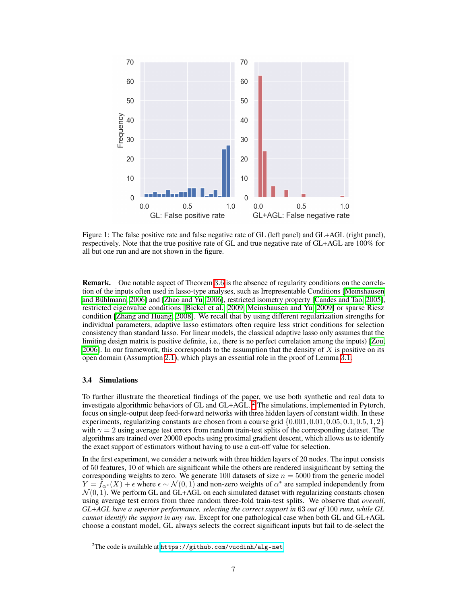

Figure 1: The false positive rate and false negative rate of GL (left panel) and GL+AGL (right panel), respectively. Note that the true positive rate of GL and true negative rate of GL+AGL are 100% for all but one run and are not shown in the figure.

**Remark.** One notable aspect of Theorem [3](#page-5-0).6 is the absence of regularity conditions on the correlation of the inputs often used in lasso-type analyses, such as Irrepresentable Conditions **[\[Meinshausen](#page-11-16)]** [and Bühlmann, 2006\]](#page-11-16) and [\[Zhao and Yu, 2006\]](#page-11-13), restricted isometry property [\[Candes and Tao, 2005\]](#page-10-17), restricted eigenvalue conditions [\[Bickel et al., 2009,](#page-10-18) [Meinshausen and Yu, 2009\]](#page-11-17) or sparse Riesz condition [\[Zhang and Huang, 2008\]](#page-11-18). We recall that by using different regularization strengths for individual parameters, adaptive lasso estimators often require less strict conditions for selection consistency than standard lasso. For linear models, the classical adaptive lasso only assumes that the limiting design matrix is positive definite, i.e., there is no perfect correlation among the inputs)  $\sqrt{Z_{\text{OU}}}\sqrt{Z_{\text{OU}}}\sqrt{Z_{\text{OU}}}\sqrt{Z_{\text{OU}}}\sqrt{Z_{\text{OU}}}\sqrt{Z_{\text{OU}}}\sqrt{Z_{\text{OU}}}\sqrt{Z_{\text{OU}}}\sqrt{Z_{\text{OU}}}\sqrt{Z_{\text{OU}}}\sqrt{Z_{\text{O$ [2006\]](#page-11-12). In our framework, this corresponds to the assumption that the density of *X* is positive on its open domain (Assumption [2](#page-1-0)*.*1), which plays an essential role in the proof of Lemma [3](#page-0-0)*.*1.

#### 3.4 Simulations

To further illustrate the theoretical findings of the paper, we use both synthetic and real data to investigate algorithmic behaviors of GL and GL+AGL.  $\frac{P}{P}$ The simulations, implemented in Pytorch, focus on single-output deep feed-forward networks with three hidden layers of constant width. In these experiments, regularizing constants are chosen from a course grid *{*0*.*001*,* 0*.*01*,* 0*.*05*,* 0*.*1*,* 0*.*5*,* 1*,* 2*}* with  $\gamma = 2$  using average test errors from random train-test splits of the corresponding dataset. The algorithms are trained over 20000 epochs using proximal gradient descent, which allows us to identify the exact support of estimators without having to use a cut-off value for selection.

In the first experiment, we consider a network with three hidden layers of 20 nodes. The input consists of 50 features, 10 of which are significant while the others are rendered insignificant by setting the corresponding weights to zero. We generate 100 datasets of size  $n = 5000$  from the generic model  $Y = f_{\alpha^*}(X) + \epsilon$  where  $\epsilon \sim \mathcal{N}(0, 1)$  and non-zero weights of  $\alpha^*$  are sampled independently from  $\mathcal{N}(0, 1)$ . We perform GL and GL+AGL on each simulated dataset with regularizing constants chosen using average test errors from three random three-fold train-test splits. We observe that *overall, GL+AGL have a superior performance, selecting the correct support in* 63 *out of* 100 *runs, while GL cannot identify the support in any run*. Except for one pathological case when both GL and GL+AGL choose a constant model, GL always selects the correct significant inputs but fail to de-select the

<span id="page-6-0"></span> $^2$ The code is available at  ${\tt \frac{https://github.com/vucdinh/alg-net}{}$  ${\tt \frac{https://github.com/vucdinh/alg-net}{}$  ${\tt \frac{https://github.com/vucdinh/alg-net}{}$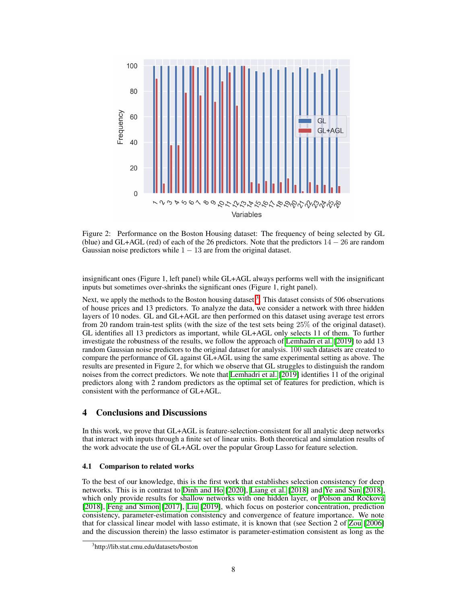

Figure 2: Performance on the Boston Housing dataset: The frequency of being selected by GL (blue) and GL+AGL (red) of each of the 26 predictors. Note that the predictors  $14 - 26$  are random Gaussian noise predictors while  $1 - 13$  are from the original dataset.

insignificant ones (Figure 1, left panel) while GL+AGL always performs well with the insignificant inputs but sometimes over-shrinks the significant ones (Figure 1, right panel).

Next, we apply the methods to the Boston housing dataset  $\frac{3}{5}$ . This dataset consists of 506 observations of house prices and 13 predictors. To analyze the data, we consider a network with three hidden layers of 10 nodes. GL and GL+AGL are then performed on this dataset using average test errors from 20 random train-test splits (with the size of the test sets being 25% of the original dataset). GL identifies all 13 predictors as important, while GL+AGL only selects 11 of them. To further investigate the robustness of the results, we follow the approach of **Lemhadri et al.** [\[2019\]](#page-10-3) to add 13 random Gaussian noise predictors to the original dataset for analysis. 100 such datasets are created to compare the performance of GL against GL+AGL using the same experimental setting as above. The results are presented in Figure 2, for which we observe that GL struggles to distinguish the random noises from the correct predictors. We note that **Lemhadri et al.** [\[2019\]](#page-10-3) identifies 11 of the original predictors along with 2 random predictors as the optimal set of features for prediction, which is consistent with the performance of GL+AGL.

## 4 Conclusions and Discussions

In this work, we prove that GL+AGL is feature-selection-consistent for all analytic deep networks that interact with inputs through a finite set of linear units. Both theoretical and simulation results of the work advocate the use of GL+AGL over the popular Group Lasso for feature selection.

#### 4.1 Comparison to related works

To the best of our knowledge, this is the first work that establishes selection consistency for deep networks. This is in contrast to [Dinh and Ho](#page-10-9) [\[2020\]](#page-10-9), [Liang et al.](#page-10-10) [\[2018\]](#page-11-9) and [Ye and Sun](#page-11-9) [2018], which only provide results for shallow networks with one hidden layer, or [Polson and Rocková](#page-11-10)  $[2018]$ , [Feng and Simon](#page-10-0)  $[2017]$ , [Liu](#page-10-13)  $[2019]$ , which focus on posterior concentration, prediction consistency, parameter-estimation consistency and convergence of feature importance. We note that for classical linear model with lasso estimate, it is known that (see Section 2 of  $\overline{Z_{\text{Oul}} \| 2006} \|$ and the discussion therein) the lasso estimator is parameter-estimation consistent as long as the

<span id="page-7-0"></span><sup>3</sup> http://lib.stat.cmu.edu/datasets/boston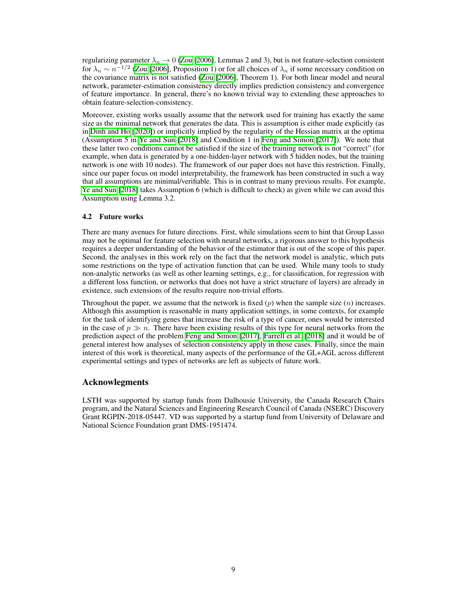regularizing parameter  $\lambda_n \to 0$  [\(Zou](#page-11-12) [\[2006\]](#page-11-12), Lemmas 2 and 3), but is not feature-selection consistent for  $\lambda_n \sim n^{-1/2}$  [\(Zou](#page-11-12) [\[2006\]](#page-11-12), Proposition 1) or for all choices of  $\lambda_n$  if some necessary condition on the covariance matrix is not satisfied  $\overline{[Z_{\text{OU}]}[2006]}$  $\overline{[Z_{\text{OU}]}[2006]}$  $\overline{[Z_{\text{OU}]}[2006]}$ , Theorem 1). For both linear model and neural network, parameter-estimation consistency directly implies prediction consistency and convergence of feature importance. In general, there's no known trivial way to extending these approaches to obtain feature-selection-consistency.

Moreover, existing works usually assume that the network used for training has exactly the same size as the minimal network that generates the data. This is assumption is either made explicitly (as in  $\boxed{\text{Dinh}}$  and  $\boxed{\text{HO}}$   $\boxed{\text{2020}}$ ) or implicitly implied by the regularity of the Hessian matrix at the optima (Assumption 5 in [Ye and Sun](#page-11-9) [\[2018\]](#page-11-9) and Condition 1 in [Feng and Simon](#page-10-0) [\[2017\]](#page-10-0)). We note that these latter two conditions cannot be satisfied if the size of the training network is not "correct" (for example, when data is generated by a one-hidden-layer network with 5 hidden nodes, but the training network is one with 10 nodes). The framework of our paper does not have this restriction. Finally, since our paper focus on model interpretability, the framework has been constructed in such a way that all assumptions are minimal/verifiable. This is in contrast to many previous results. For example, [Ye and Sun](#page-11-9) [\[2018\]](#page-11-9) takes Assumption 6 (which is difficult to check) as given while we can avoid this Assumption using Lemma 3.2.

#### 4.2 Future works

There are many avenues for future directions. First, while simulations seem to hint that Group Lasso may not be optimal for feature selection with neural networks, a rigorous answer to this hypothesis requires a deeper understanding of the behavior of the estimator that is out of the scope of this paper. Second, the analyses in this work rely on the fact that the network model is analytic, which puts some restrictions on the type of activation function that can be used. While many tools to study non-analytic networks (as well as other learning settings, e.g., for classification, for regression with a different loss function, or networks that does not have a strict structure of layers) are already in existence, such extensions of the results require non-trivial efforts.

Throughout the paper, we assume that the network is fixed  $(p)$  when the sample size  $(n)$  increases. Although this assumption is reasonable in many application settings, in some contexts, for example for the task of identifying genes that increase the risk of a type of cancer, ones would be interested in the case of  $p \gg n$ . There have been existing results of this type for neural networks from the prediction aspect of the problem [Feng and Simon](#page-10-0) [\[2017\]](#page-10-0), [Farrell et al.](#page-10-11) [\[2018\]](#page-10-11) and it would be of general interest how analyses of selection consistency apply in those cases. Finally, since the main interest of this work is theoretical, many aspects of the performance of the GL+AGL across different experimental settings and types of networks are left as subjects of future work.

## Acknowlegments

LSTH was supported by startup funds from Dalhousie University, the Canada Research Chairs program, and the Natural Sciences and Engineering Research Council of Canada (NSERC) Discovery Grant RGPIN-2018-05447. VD was supported by a startup fund from University of Delaware and National Science Foundation grant DMS-1951474.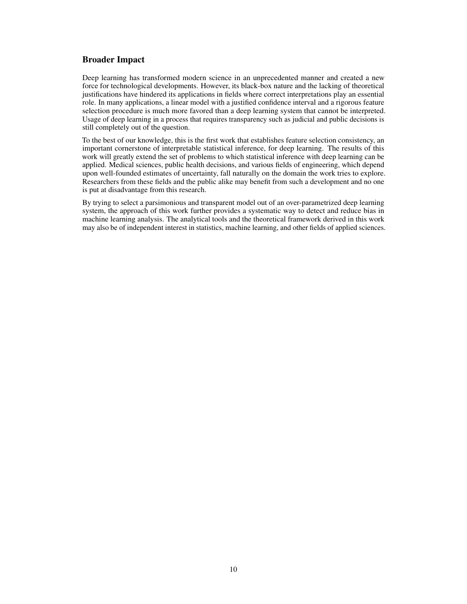## Broader Impact

Deep learning has transformed modern science in an unprecedented manner and created a new force for technological developments. However, its black-box nature and the lacking of theoretical justifications have hindered its applications in fields where correct interpretations play an essential role. In many applications, a linear model with a justified confidence interval and a rigorous feature selection procedure is much more favored than a deep learning system that cannot be interpreted. Usage of deep learning in a process that requires transparency such as judicial and public decisions is still completely out of the question.

To the best of our knowledge, this is the first work that establishes feature selection consistency, an important cornerstone of interpretable statistical inference, for deep learning. The results of this work will greatly extend the set of problems to which statistical inference with deep learning can be applied. Medical sciences, public health decisions, and various fields of engineering, which depend upon well-founded estimates of uncertainty, fall naturally on the domain the work tries to explore. Researchers from these fields and the public alike may benefit from such a development and no one is put at disadvantage from this research.

By trying to select a parsimonious and transparent model out of an over-parametrized deep learning system, the approach of this work further provides a systematic way to detect and reduce bias in machine learning analysis. The analytical tools and the theoretical framework derived in this work may also be of independent interest in statistics, machine learning, and other fields of applied sciences.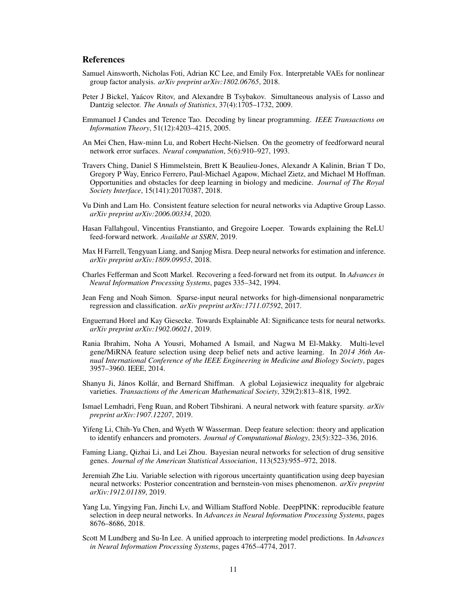## **References**

- <span id="page-10-2"></span>Samuel Ainsworth, Nicholas Foti, Adrian KC Lee, and Emily Fox. Interpretable VAEs for nonlinear group factor analysis. *arXiv preprint arXiv:1802.06765*, 2018.
- <span id="page-10-18"></span>Peter J Bickel, Yaácov Ritov, and Alexandre B Tsybakov. Simultaneous analysis of Lasso and Dantzig selector. *The Annals of Statistics*, 37(4):1705–1732, 2009.
- <span id="page-10-17"></span>Emmanuel J Candes and Terence Tao. Decoding by linear programming. *IEEE Transactions on Information Theory*, 51(12):4203–4215, 2005.
- <span id="page-10-14"></span>An Mei Chen, Haw-minn Lu, and Robert Hecht-Nielsen. On the geometry of feedforward neural network error surfaces. *Neural computation*, 5(6):910–927, 1993.
- <span id="page-10-7"></span>Travers Ching, Daniel S Himmelstein, Brett K Beaulieu-Jones, Alexandr A Kalinin, Brian T Do, Gregory P Way, Enrico Ferrero, Paul-Michael Agapow, Michael Zietz, and Michael M Hoffman. Opportunities and obstacles for deep learning in biology and medicine. *Journal of The Royal Society Interface*, 15(141):20170387, 2018.
- <span id="page-10-9"></span>Vu Dinh and Lam Ho. Consistent feature selection for neural networks via Adaptive Group Lasso. *arXiv preprint arXiv:2006.00334*, 2020.
- <span id="page-10-12"></span>Hasan Fallahgoul, Vincentius Franstianto, and Gregoire Loeper. Towards explaining the ReLU feed-forward network. *Available at SSRN*, 2019.
- <span id="page-10-11"></span>Max H Farrell, Tengyuan Liang, and Sanjog Misra. Deep neural networks for estimation and inference. *arXiv preprint arXiv:1809.09953*, 2018.
- <span id="page-10-15"></span>Charles Fefferman and Scott Markel. Recovering a feed-forward net from its output. In *Advances in Neural Information Processing Systems*, pages 335–342, 1994.
- <span id="page-10-0"></span>Jean Feng and Noah Simon. Sparse-input neural networks for high-dimensional nonparametric regression and classification. *arXiv preprint arXiv:1711.07592*, 2017.
- <span id="page-10-4"></span>Enguerrand Horel and Kay Giesecke. Towards Explainable AI: Significance tests for neural networks. *arXiv preprint arXiv:1902.06021*, 2019.
- <span id="page-10-5"></span>Rania Ibrahim, Noha A Yousri, Mohamed A Ismail, and Nagwa M El-Makky. Multi-level gene/MiRNA feature selection using deep belief nets and active learning. In *2014 36th Annual International Conference of the IEEE Engineering in Medicine and Biology Society*, pages 3957–3960. IEEE, 2014.
- <span id="page-10-16"></span>Shanyu Ji, János Kollár, and Bernard Shiffman. A global Lojasiewicz inequality for algebraic varieties. *Transactions of the American Mathematical Society*, 329(2):813–818, 1992.
- <span id="page-10-3"></span>Ismael Lemhadri, Feng Ruan, and Robert Tibshirani. A neural network with feature sparsity. *arXiv preprint arXiv:1907.12207*, 2019.
- <span id="page-10-1"></span>Yifeng Li, Chih-Yu Chen, and Wyeth W Wasserman. Deep feature selection: theory and application to identify enhancers and promoters. *Journal of Computational Biology*, 23(5):322–336, 2016.
- <span id="page-10-10"></span>Faming Liang, Qizhai Li, and Lei Zhou. Bayesian neural networks for selection of drug sensitive genes. *Journal of the American Statistical Association*, 113(523):955–972, 2018.
- <span id="page-10-13"></span>Jeremiah Zhe Liu. Variable selection with rigorous uncertainty quantification using deep bayesian neural networks: Posterior concentration and bernstein-von mises phenomenon. *arXiv preprint arXiv:1912.01189*, 2019.
- <span id="page-10-8"></span>Yang Lu, Yingying Fan, Jinchi Lv, and William Stafford Noble. DeepPINK: reproducible feature selection in deep neural networks. In *Advances in Neural Information Processing Systems*, pages 8676–8686, 2018.
- <span id="page-10-6"></span>Scott M Lundberg and Su-In Lee. A unified approach to interpreting model predictions. In *Advances in Neural Information Processing Systems*, pages 4765–4774, 2017.